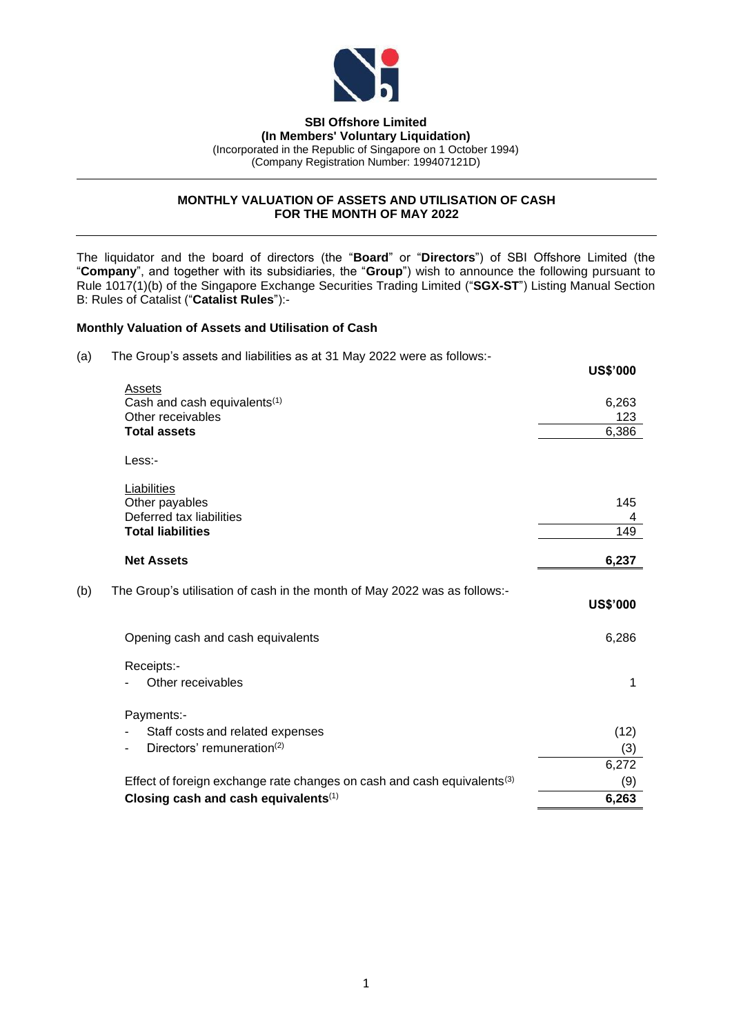

# **SBI Offshore Limited**

**(In Members' Voluntary Liquidation)** (Incorporated in the Republic of Singapore on 1 October 1994) (Company Registration Number: 199407121D)

## **MONTHLY VALUATION OF ASSETS AND UTILISATION OF CASH FOR THE MONTH OF MAY 2022**

The liquidator and the board of directors (the "**Board**" or "**Directors**") of SBI Offshore Limited (the "**Company**", and together with its subsidiaries, the "**Group**") wish to announce the following pursuant to Rule 1017(1)(b) of the Singapore Exchange Securities Trading Limited ("**SGX-ST**") Listing Manual Section B: Rules of Catalist ("**Catalist Rules**"):-

## **Monthly Valuation of Assets and Utilisation of Cash**

(a) The Group's assets and liabilities as at 31 May 2022 were as follows:-

|     |                                                                                     | <b>US\$'000</b> |
|-----|-------------------------------------------------------------------------------------|-----------------|
|     | Assets                                                                              |                 |
|     | Cash and cash equivalents <sup>(1)</sup>                                            | 6,263           |
|     | Other receivables                                                                   | 123             |
|     | <b>Total assets</b>                                                                 | 6,386           |
|     | Less:-                                                                              |                 |
|     | Liabilities                                                                         |                 |
|     | Other payables                                                                      | 145             |
|     | Deferred tax liabilities                                                            | 4               |
|     | <b>Total liabilities</b>                                                            | 149             |
|     | <b>Net Assets</b>                                                                   | 6,237           |
| (b) | The Group's utilisation of cash in the month of May 2022 was as follows:-           | <b>US\$'000</b> |
|     | Opening cash and cash equivalents                                                   | 6,286           |
|     | Receipts:-                                                                          |                 |
|     | Other receivables                                                                   | 1               |
|     | Payments:-                                                                          |                 |
|     | Staff costs and related expenses                                                    | (12)            |
|     | Directors' remuneration <sup>(2)</sup><br>$\overline{\phantom{0}}$                  | (3)             |
|     |                                                                                     | 6,272           |
|     | Effect of foreign exchange rate changes on cash and cash equivalents <sup>(3)</sup> | (9)             |
|     | Closing cash and cash equivalents(1)                                                | 6,263           |
|     |                                                                                     |                 |